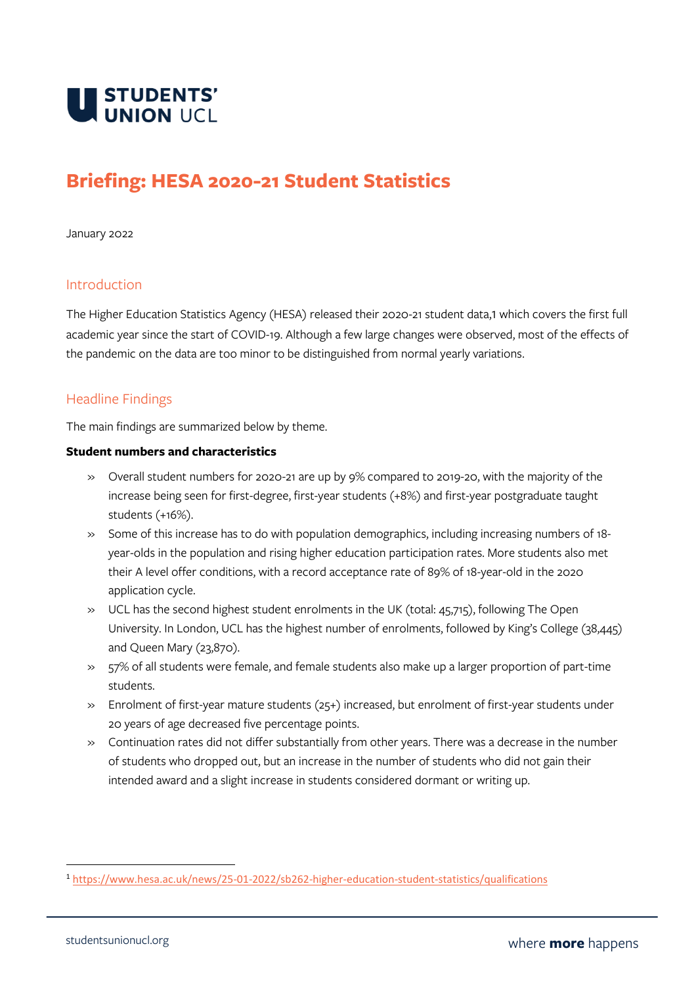

# **Briefing: HESA 2020-21 Student Statistics**

January 2022

# Introduction

The Higher Education Statistics Agency (HESA) released their 2020-21 student data,1 which covers the first full academic year since the start of COVID-19. Although a few large changes were observed, most of the effects of the pandemic on the data are too minor to be distinguished from normal yearly variations.

# Headline Findings

The main findings are summarized below by theme.

#### **Student numbers and characteristics**

- » Overall student numbers for 2020-21 are up by 9% compared to 2019-20, with the majority of the increase being seen for first-degree, first-year students (+8%) and first-year postgraduate taught students (+16%).
- » Some of this increase has to do with population demographics, including increasing numbers of 18 year-olds in the population and rising higher education participation rates. More students also met their A level offer conditions, with a record acceptance rate of 89% of 18-year-old in the 2020 application cycle.
- » UCL has the second highest student enrolments in the UK (total: 45,715), following The Open University. In London, UCL has the highest number of enrolments, followed by King's College (38,445) and Queen Mary (23,870).
- » 57% of all students were female, and female students also make up a larger proportion of part-time students.
- » Enrolment of first-year mature students (25+) increased, but enrolment of first-year students under 20 years of age decreased five percentage points.
- » Continuation rates did not differ substantially from other years. There was a decrease in the number of students who dropped out, but an increase in the number of students who did not gain their intended award and a slight increase in students considered dormant or writing up.

<sup>1</sup> <https://www.hesa.ac.uk/news/25-01-2022/sb262-higher-education-student-statistics/qualifications>